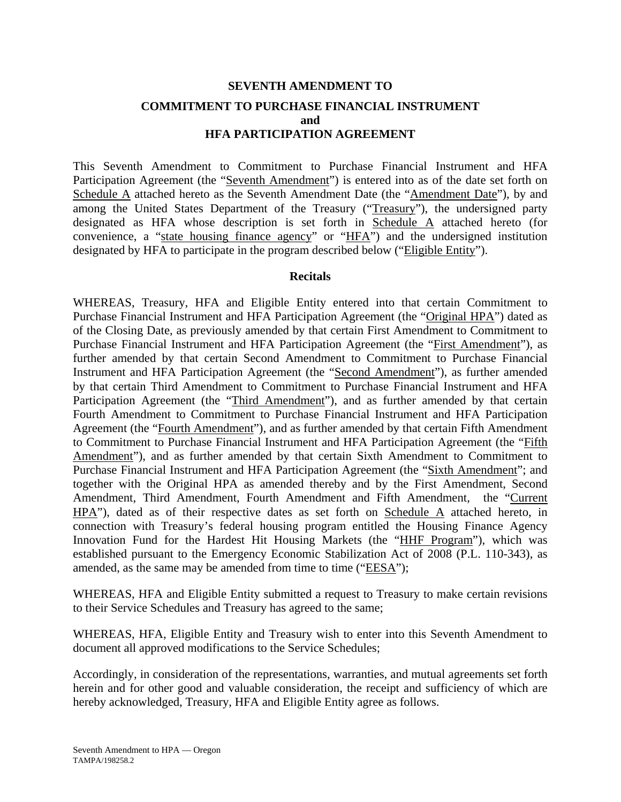# **SEVENTH AMENDMENT TO COMMITMENT TO PURCHASE FINANCIAL INSTRUMENT and HFA PARTICIPATION AGREEMENT**

This Seventh Amendment to Commitment to Purchase Financial Instrument and HFA Participation Agreement (the "Seventh Amendment") is entered into as of the date set forth on Schedule A attached hereto as the Seventh Amendment Date (the "Amendment Date"), by and among the United States Department of the Treasury ("Treasury"), the undersigned party designated as HFA whose description is set forth in Schedule A attached hereto (for convenience, a "state housing finance agency" or "HFA") and the undersigned institution designated by HFA to participate in the program described below ("Eligible Entity").

#### **Recitals**

WHEREAS, Treasury, HFA and Eligible Entity entered into that certain Commitment to Purchase Financial Instrument and HFA Participation Agreement (the "Original HPA") dated as of the Closing Date, as previously amended by that certain First Amendment to Commitment to Purchase Financial Instrument and HFA Participation Agreement (the "First Amendment"), as further amended by that certain Second Amendment to Commitment to Purchase Financial Instrument and HFA Participation Agreement (the "Second Amendment"), as further amended by that certain Third Amendment to Commitment to Purchase Financial Instrument and HFA Participation Agreement (the "Third Amendment"), and as further amended by that certain Fourth Amendment to Commitment to Purchase Financial Instrument and HFA Participation Agreement (the "Fourth Amendment"), and as further amended by that certain Fifth Amendment to Commitment to Purchase Financial Instrument and HFA Participation Agreement (the "Fifth Amendment"), and as further amended by that certain Sixth Amendment to Commitment to Purchase Financial Instrument and HFA Participation Agreement (the "Sixth Amendment"; and together with the Original HPA as amended thereby and by the First Amendment, Second Amendment, Third Amendment, Fourth Amendment and Fifth Amendment, the "Current HPA"), dated as of their respective dates as set forth on Schedule A attached hereto, in connection with Treasury's federal housing program entitled the Housing Finance Agency Innovation Fund for the Hardest Hit Housing Markets (the "HHF Program"), which was established pursuant to the Emergency Economic Stabilization Act of 2008 (P.L. 110-343), as amended, as the same may be amended from time to time ("EESA");

WHEREAS, HFA and Eligible Entity submitted a request to Treasury to make certain revisions to their Service Schedules and Treasury has agreed to the same;

WHEREAS, HFA, Eligible Entity and Treasury wish to enter into this Seventh Amendment to document all approved modifications to the Service Schedules;

Accordingly, in consideration of the representations, warranties, and mutual agreements set forth herein and for other good and valuable consideration, the receipt and sufficiency of which are hereby acknowledged, Treasury, HFA and Eligible Entity agree as follows.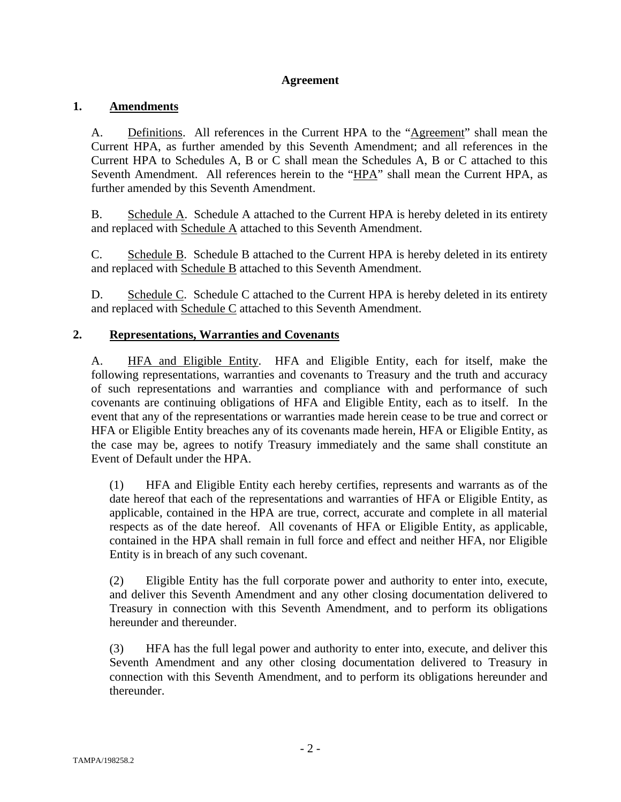### **Agreement**

#### **1. Amendments**

A. Definitions. All references in the Current HPA to the "Agreement" shall mean the Current HPA, as further amended by this Seventh Amendment; and all references in the Current HPA to Schedules A, B or C shall mean the Schedules A, B or C attached to this Seventh Amendment. All references herein to the "HPA" shall mean the Current HPA, as further amended by this Seventh Amendment.

B. Schedule A. Schedule A attached to the Current HPA is hereby deleted in its entirety and replaced with Schedule A attached to this Seventh Amendment.

C. Schedule B. Schedule B attached to the Current HPA is hereby deleted in its entirety and replaced with Schedule B attached to this Seventh Amendment.

D. Schedule C. Schedule C attached to the Current HPA is hereby deleted in its entirety and replaced with Schedule C attached to this Seventh Amendment.

#### **2. Representations, Warranties and Covenants**

A. HFA and Eligible Entity. HFA and Eligible Entity, each for itself, make the following representations, warranties and covenants to Treasury and the truth and accuracy of such representations and warranties and compliance with and performance of such covenants are continuing obligations of HFA and Eligible Entity, each as to itself. In the event that any of the representations or warranties made herein cease to be true and correct or HFA or Eligible Entity breaches any of its covenants made herein, HFA or Eligible Entity, as the case may be, agrees to notify Treasury immediately and the same shall constitute an Event of Default under the HPA.

(1) HFA and Eligible Entity each hereby certifies, represents and warrants as of the date hereof that each of the representations and warranties of HFA or Eligible Entity, as applicable, contained in the HPA are true, correct, accurate and complete in all material respects as of the date hereof. All covenants of HFA or Eligible Entity, as applicable, contained in the HPA shall remain in full force and effect and neither HFA, nor Eligible Entity is in breach of any such covenant.

(2) Eligible Entity has the full corporate power and authority to enter into, execute, and deliver this Seventh Amendment and any other closing documentation delivered to Treasury in connection with this Seventh Amendment, and to perform its obligations hereunder and thereunder.

(3) HFA has the full legal power and authority to enter into, execute, and deliver this Seventh Amendment and any other closing documentation delivered to Treasury in connection with this Seventh Amendment, and to perform its obligations hereunder and thereunder.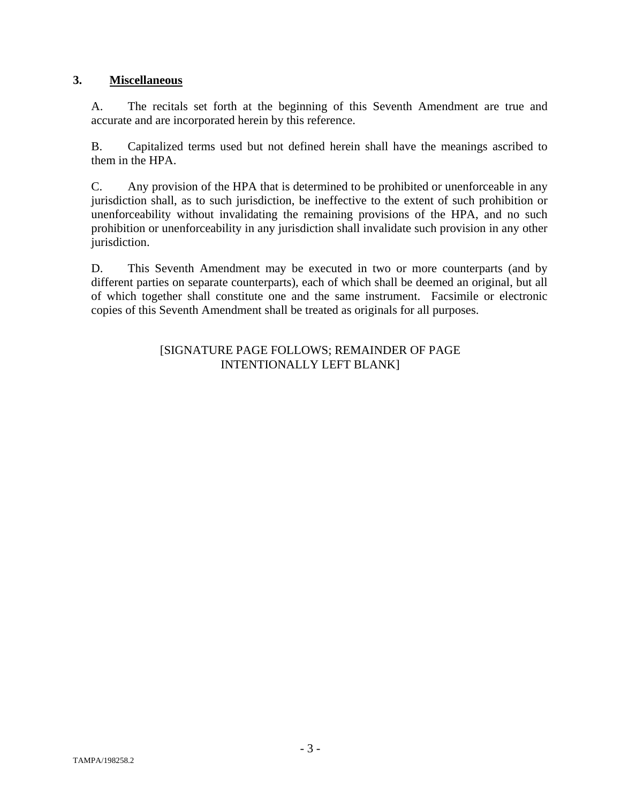## **3. Miscellaneous**

A. The recitals set forth at the beginning of this Seventh Amendment are true and accurate and are incorporated herein by this reference.

B. Capitalized terms used but not defined herein shall have the meanings ascribed to them in the HPA.

C. Any provision of the HPA that is determined to be prohibited or unenforceable in any jurisdiction shall, as to such jurisdiction, be ineffective to the extent of such prohibition or unenforceability without invalidating the remaining provisions of the HPA, and no such prohibition or unenforceability in any jurisdiction shall invalidate such provision in any other jurisdiction.

D. This Seventh Amendment may be executed in two or more counterparts (and by different parties on separate counterparts), each of which shall be deemed an original, but all of which together shall constitute one and the same instrument. Facsimile or electronic copies of this Seventh Amendment shall be treated as originals for all purposes.

#### [SIGNATURE PAGE FOLLOWS; REMAINDER OF PAGE INTENTIONALLY LEFT BLANK]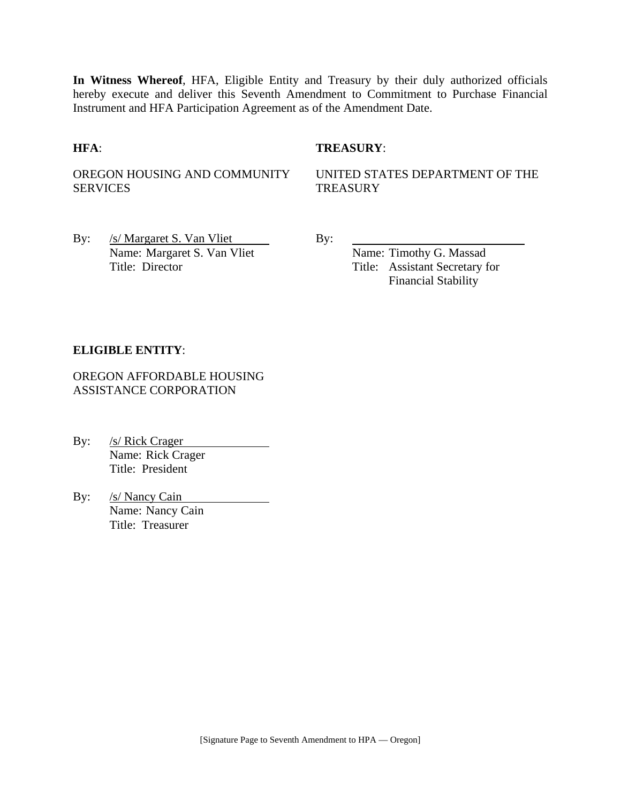**In Witness Whereof**, HFA, Eligible Entity and Treasury by their duly authorized officials hereby execute and deliver this Seventh Amendment to Commitment to Purchase Financial Instrument and HFA Participation Agreement as of the Amendment Date.

#### **HFA**: **TREASURY**:

OREGON HOUSING AND COMMUNITY SERVICES

UNITED STATES DEPARTMENT OF THE **TREASURY** 

By:  $/s/Margaret S. Van Vliet$  By: Name: Margaret S. Van Vliet Name: Timothy G. Massad

Title: Director Title: Assistant Secretary for Financial Stability

#### **ELIGIBLE ENTITY**:

OREGON AFFORDABLE HOUSING ASSISTANCE CORPORATION

By: /s/ Rick Crager Name: Rick Crager Title: President

By: /s/ Nancy Cain Name: Nancy Cain Title: Treasurer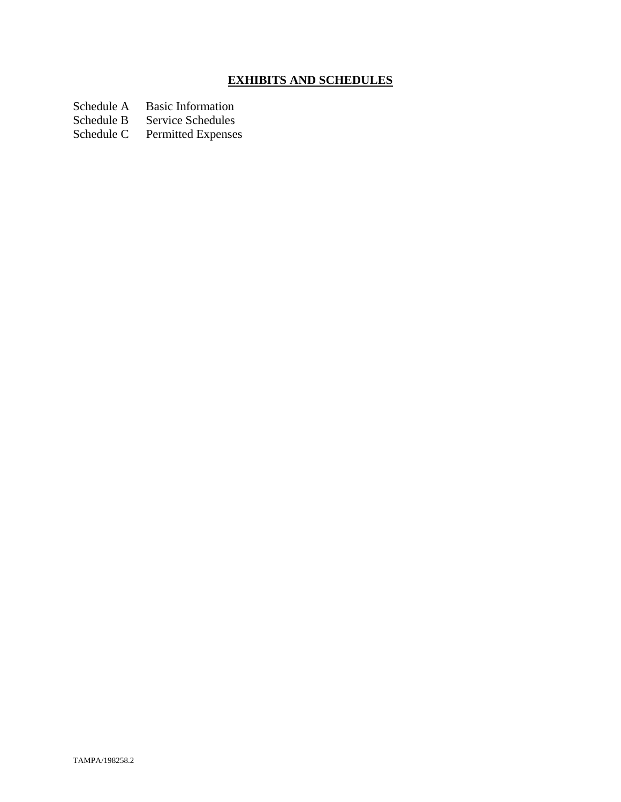# **EXHIBITS AND SCHEDULES**

- Schedule A Basic Information<br>Schedule B Service Schedules
- Schedule B Service Schedules<br>Schedule C Permitted Expenses
- Permitted Expenses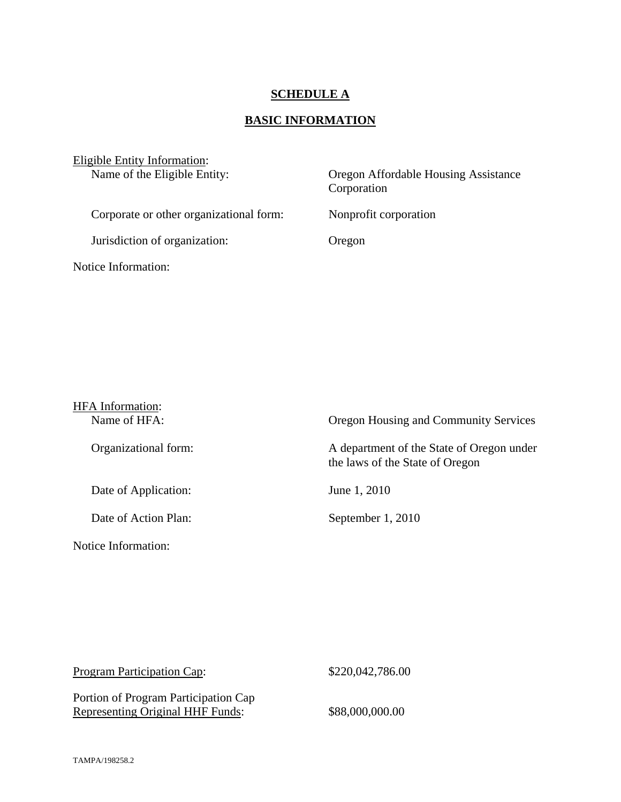# **SCHEDULE A**

# **BASIC INFORMATION**

| Eligible Entity Information:<br>Name of the Eligible Entity: | Oregon Affordable Housing Assistance<br>Corporation |  |
|--------------------------------------------------------------|-----------------------------------------------------|--|
| Corporate or other organizational form:                      | Nonprofit corporation                               |  |
| Jurisdiction of organization:                                | Oregon                                              |  |
| Notice Information:                                          |                                                     |  |

| <b>HFA</b> Information:<br>Name of HFA: | Oregon Housing and Community Services                                        |
|-----------------------------------------|------------------------------------------------------------------------------|
| Organizational form:                    | A department of the State of Oregon under<br>the laws of the State of Oregon |
| Date of Application:                    | June 1, 2010                                                                 |
| Date of Action Plan:                    | September 1, 2010                                                            |
| Notice Information:                     |                                                                              |

| <b>Program Participation Cap:</b>                                        | \$220,042,786.00 |
|--------------------------------------------------------------------------|------------------|
| Portion of Program Participation Cap<br>Representing Original HHF Funds: | \$88,000,000.00  |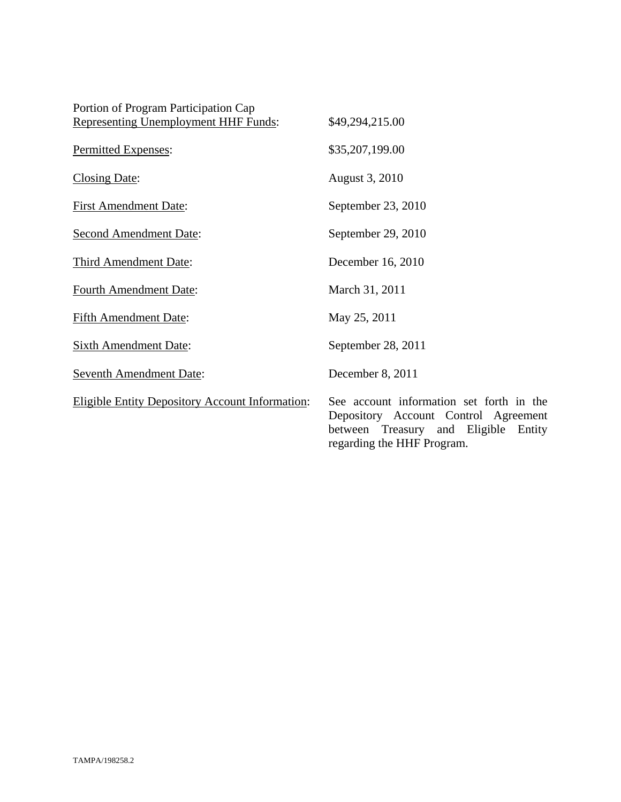| Portion of Program Participation Cap                   |                                                                                                                                      |
|--------------------------------------------------------|--------------------------------------------------------------------------------------------------------------------------------------|
| <b>Representing Unemployment HHF Funds:</b>            | \$49,294,215.00                                                                                                                      |
| Permitted Expenses:                                    | \$35,207,199.00                                                                                                                      |
| <b>Closing Date:</b>                                   | August 3, 2010                                                                                                                       |
| <b>First Amendment Date:</b>                           | September 23, 2010                                                                                                                   |
| <b>Second Amendment Date:</b>                          | September 29, 2010                                                                                                                   |
| <b>Third Amendment Date:</b>                           | December 16, 2010                                                                                                                    |
| <b>Fourth Amendment Date:</b>                          | March 31, 2011                                                                                                                       |
| <b>Fifth Amendment Date:</b>                           | May 25, 2011                                                                                                                         |
| <b>Sixth Amendment Date:</b>                           | September 28, 2011                                                                                                                   |
| <b>Seventh Amendment Date:</b>                         | December 8, 2011                                                                                                                     |
| <b>Eligible Entity Depository Account Information:</b> | See account information set forth in the<br>Depository Account Control Agreement<br>Eligible<br>between<br>Treasury<br>and<br>Entity |

regarding the HHF Program.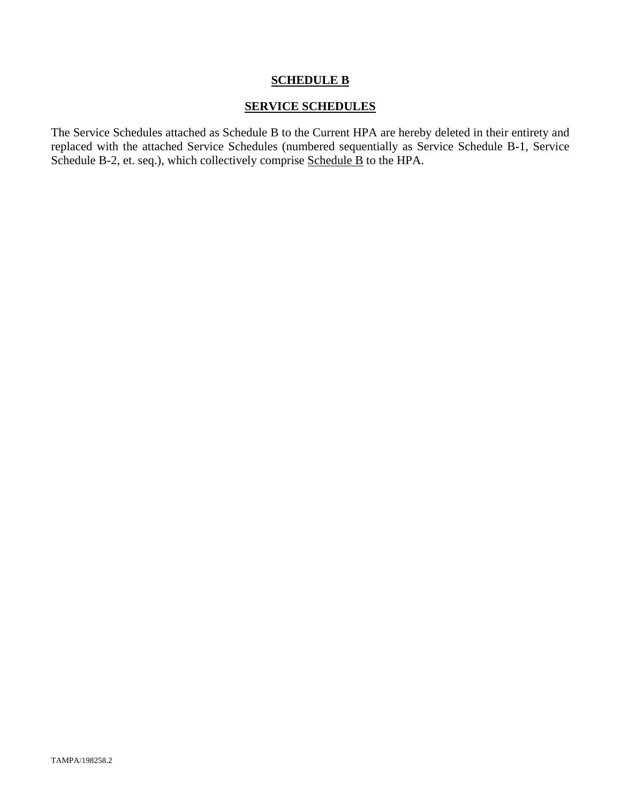#### **SCHEDULE B**

#### **SERVICE SCHEDULES**

The Service Schedules attached as Schedule B to the Current HPA are hereby deleted in their entirety and replaced with the attached Service Schedules (numbered sequentially as Service Schedule B-1, Service Schedule B-2, et. seq.), which collectively comprise Schedule B to the HPA.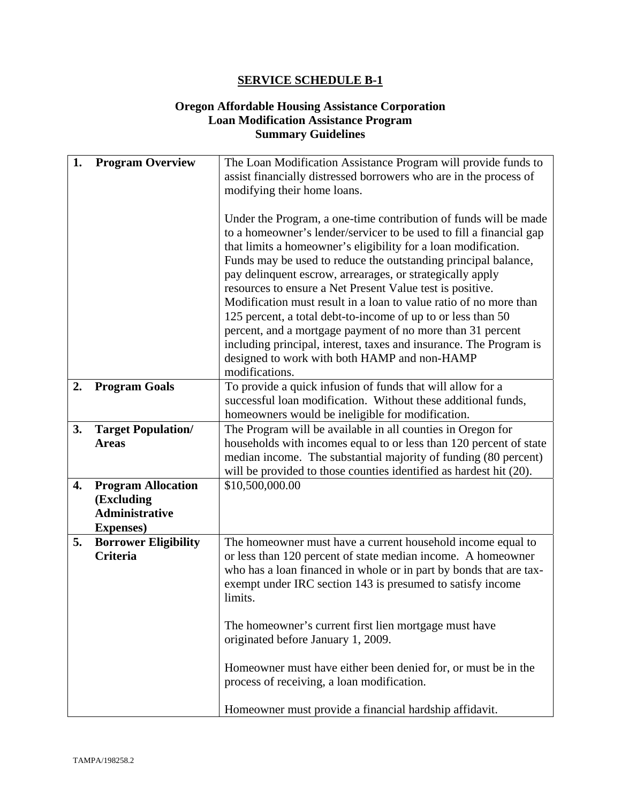### **Oregon Affordable Housing Assistance Corporation Loan Modification Assistance Program Summary Guidelines**

| 1. | <b>Program Overview</b>                                                               | The Loan Modification Assistance Program will provide funds to<br>assist financially distressed borrowers who are in the process of<br>modifying their home loans.                                                                                                                                                                                                                                                                                                                                                                                                                                                                                                                                                                               |
|----|---------------------------------------------------------------------------------------|--------------------------------------------------------------------------------------------------------------------------------------------------------------------------------------------------------------------------------------------------------------------------------------------------------------------------------------------------------------------------------------------------------------------------------------------------------------------------------------------------------------------------------------------------------------------------------------------------------------------------------------------------------------------------------------------------------------------------------------------------|
|    |                                                                                       | Under the Program, a one-time contribution of funds will be made<br>to a homeowner's lender/servicer to be used to fill a financial gap<br>that limits a homeowner's eligibility for a loan modification.<br>Funds may be used to reduce the outstanding principal balance,<br>pay delinquent escrow, arrearages, or strategically apply<br>resources to ensure a Net Present Value test is positive.<br>Modification must result in a loan to value ratio of no more than<br>125 percent, a total debt-to-income of up to or less than 50<br>percent, and a mortgage payment of no more than 31 percent<br>including principal, interest, taxes and insurance. The Program is<br>designed to work with both HAMP and non-HAMP<br>modifications. |
| 2. | <b>Program Goals</b>                                                                  | To provide a quick infusion of funds that will allow for a<br>successful loan modification. Without these additional funds,<br>homeowners would be ineligible for modification.                                                                                                                                                                                                                                                                                                                                                                                                                                                                                                                                                                  |
| 3. | <b>Target Population/</b><br><b>Areas</b>                                             | The Program will be available in all counties in Oregon for<br>households with incomes equal to or less than 120 percent of state<br>median income. The substantial majority of funding (80 percent)<br>will be provided to those counties identified as hardest hit (20).                                                                                                                                                                                                                                                                                                                                                                                                                                                                       |
| 4. | <b>Program Allocation</b><br>(Excluding<br><b>Administrative</b><br><b>Expenses</b> ) | \$10,500,000.00                                                                                                                                                                                                                                                                                                                                                                                                                                                                                                                                                                                                                                                                                                                                  |
| 5. | <b>Borrower Eligibility</b><br><b>Criteria</b>                                        | The homeowner must have a current household income equal to<br>or less than 120 percent of state median income. A homeowner<br>who has a loan financed in whole or in part by bonds that are tax-<br>exempt under IRC section 143 is presumed to satisfy income<br>limits.                                                                                                                                                                                                                                                                                                                                                                                                                                                                       |
|    |                                                                                       | The homeowner's current first lien mortgage must have<br>originated before January 1, 2009.                                                                                                                                                                                                                                                                                                                                                                                                                                                                                                                                                                                                                                                      |
|    |                                                                                       | Homeowner must have either been denied for, or must be in the<br>process of receiving, a loan modification.                                                                                                                                                                                                                                                                                                                                                                                                                                                                                                                                                                                                                                      |
|    |                                                                                       | Homeowner must provide a financial hardship affidavit.                                                                                                                                                                                                                                                                                                                                                                                                                                                                                                                                                                                                                                                                                           |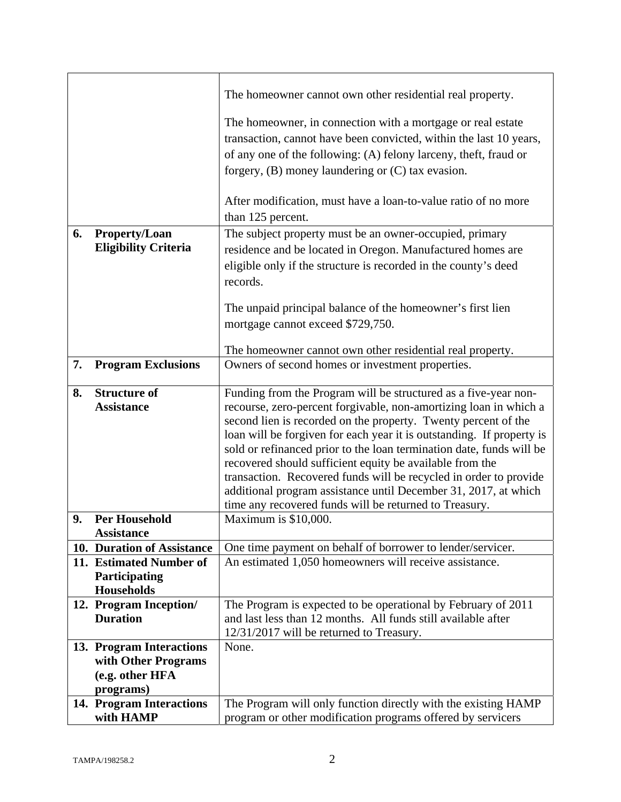|    |                                                                                 | The homeowner cannot own other residential real property.<br>The homeowner, in connection with a mortgage or real estate<br>transaction, cannot have been convicted, within the last 10 years,<br>of any one of the following: (A) felony larceny, theft, fraud or<br>forgery, (B) money laundering or (C) tax evasion.<br>After modification, must have a loan-to-value ratio of no more                                                                                                                                                                                                                             |
|----|---------------------------------------------------------------------------------|-----------------------------------------------------------------------------------------------------------------------------------------------------------------------------------------------------------------------------------------------------------------------------------------------------------------------------------------------------------------------------------------------------------------------------------------------------------------------------------------------------------------------------------------------------------------------------------------------------------------------|
|    |                                                                                 | than 125 percent.                                                                                                                                                                                                                                                                                                                                                                                                                                                                                                                                                                                                     |
| 6. | Property/Loan<br><b>Eligibility Criteria</b>                                    | The subject property must be an owner-occupied, primary<br>residence and be located in Oregon. Manufactured homes are<br>eligible only if the structure is recorded in the county's deed<br>records.                                                                                                                                                                                                                                                                                                                                                                                                                  |
|    |                                                                                 | The unpaid principal balance of the homeowner's first lien<br>mortgage cannot exceed \$729,750.<br>The homeowner cannot own other residential real property.                                                                                                                                                                                                                                                                                                                                                                                                                                                          |
| 7. | <b>Program Exclusions</b>                                                       | Owners of second homes or investment properties.                                                                                                                                                                                                                                                                                                                                                                                                                                                                                                                                                                      |
| 8. | <b>Structure of</b><br><b>Assistance</b>                                        | Funding from the Program will be structured as a five-year non-<br>recourse, zero-percent forgivable, non-amortizing loan in which a<br>second lien is recorded on the property. Twenty percent of the<br>loan will be forgiven for each year it is outstanding. If property is<br>sold or refinanced prior to the loan termination date, funds will be<br>recovered should sufficient equity be available from the<br>transaction. Recovered funds will be recycled in order to provide<br>additional program assistance until December 31, 2017, at which<br>time any recovered funds will be returned to Treasury. |
| 9. | <b>Per Household</b>                                                            | Maximum is \$10,000.                                                                                                                                                                                                                                                                                                                                                                                                                                                                                                                                                                                                  |
|    | <b>Assistance</b><br>10. Duration of Assistance                                 | One time payment on behalf of borrower to lender/servicer.                                                                                                                                                                                                                                                                                                                                                                                                                                                                                                                                                            |
|    | 11. Estimated Number of<br>Participating<br><b>Households</b>                   | An estimated 1,050 homeowners will receive assistance.                                                                                                                                                                                                                                                                                                                                                                                                                                                                                                                                                                |
|    | 12. Program Inception/<br><b>Duration</b>                                       | The Program is expected to be operational by February of 2011<br>and last less than 12 months. All funds still available after<br>12/31/2017 will be returned to Treasury.                                                                                                                                                                                                                                                                                                                                                                                                                                            |
|    | 13. Program Interactions<br>with Other Programs<br>(e.g. other HFA<br>programs) | None.                                                                                                                                                                                                                                                                                                                                                                                                                                                                                                                                                                                                                 |
|    | 14. Program Interactions<br>with HAMP                                           | The Program will only function directly with the existing HAMP<br>program or other modification programs offered by servicers                                                                                                                                                                                                                                                                                                                                                                                                                                                                                         |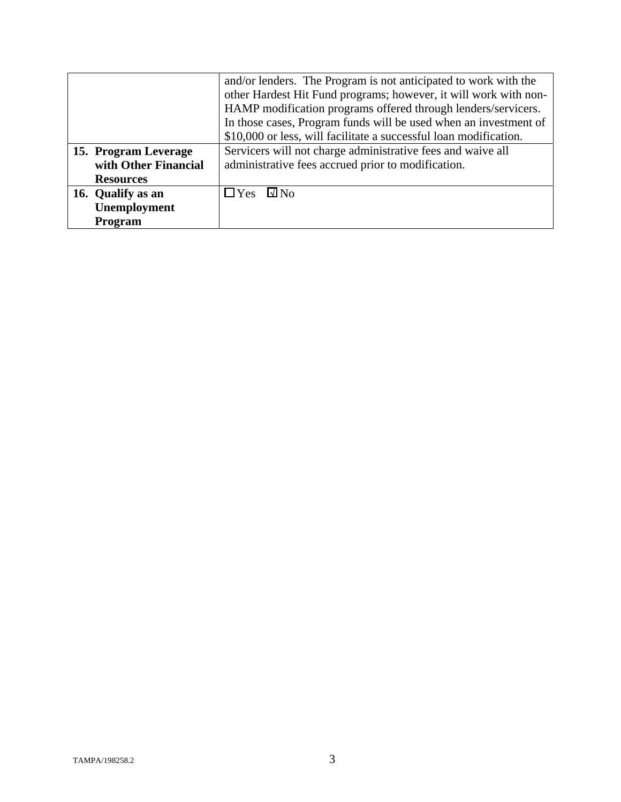|                      | and/or lenders. The Program is not anticipated to work with the   |
|----------------------|-------------------------------------------------------------------|
|                      | other Hardest Hit Fund programs; however, it will work with non-  |
|                      | HAMP modification programs offered through lenders/servicers.     |
|                      | In those cases, Program funds will be used when an investment of  |
|                      | \$10,000 or less, will facilitate a successful loan modification. |
| 15. Program Leverage | Servicers will not charge administrative fees and waive all       |
| with Other Financial | administrative fees accrued prior to modification.                |
| <b>Resources</b>     |                                                                   |
| 16. Qualify as an    | $\Box$ Yes<br>$\square$ No                                        |
| Unemployment         |                                                                   |
| Program              |                                                                   |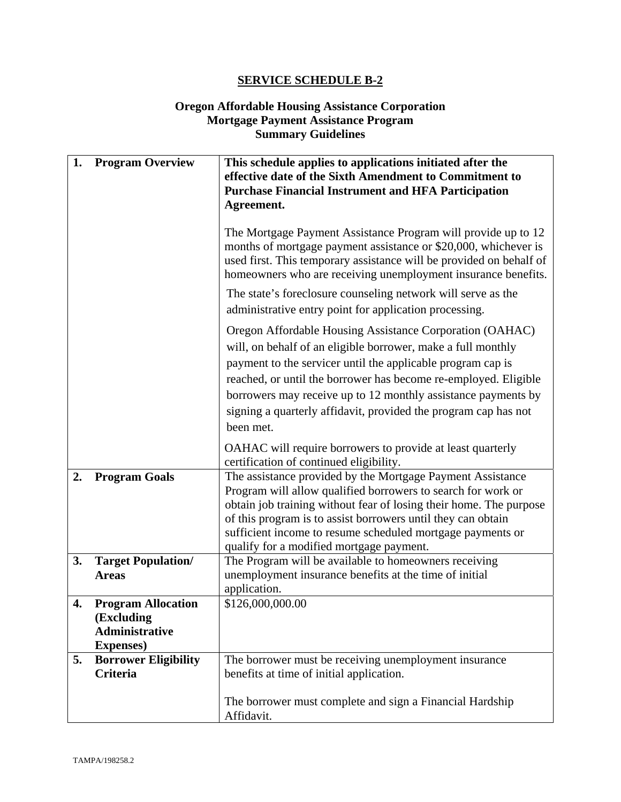### **Oregon Affordable Housing Assistance Corporation Mortgage Payment Assistance Program Summary Guidelines**

| 1. | <b>Program Overview</b>                                                               | This schedule applies to applications initiated after the<br>effective date of the Sixth Amendment to Commitment to<br><b>Purchase Financial Instrument and HFA Participation</b><br>Agreement.                                                                                                                                                                                                                                                                           |
|----|---------------------------------------------------------------------------------------|---------------------------------------------------------------------------------------------------------------------------------------------------------------------------------------------------------------------------------------------------------------------------------------------------------------------------------------------------------------------------------------------------------------------------------------------------------------------------|
|    |                                                                                       | The Mortgage Payment Assistance Program will provide up to 12<br>months of mortgage payment assistance or \$20,000, whichever is<br>used first. This temporary assistance will be provided on behalf of<br>homeowners who are receiving unemployment insurance benefits.<br>The state's foreclosure counseling network will serve as the<br>administrative entry point for application processing.                                                                        |
|    |                                                                                       | Oregon Affordable Housing Assistance Corporation (OAHAC)<br>will, on behalf of an eligible borrower, make a full monthly<br>payment to the servicer until the applicable program cap is<br>reached, or until the borrower has become re-employed. Eligible<br>borrowers may receive up to 12 monthly assistance payments by<br>signing a quarterly affidavit, provided the program cap has not<br>been met.<br>OAHAC will require borrowers to provide at least quarterly |
| 2. | <b>Program Goals</b>                                                                  | certification of continued eligibility.<br>The assistance provided by the Mortgage Payment Assistance<br>Program will allow qualified borrowers to search for work or<br>obtain job training without fear of losing their home. The purpose<br>of this program is to assist borrowers until they can obtain<br>sufficient income to resume scheduled mortgage payments or<br>qualify for a modified mortgage payment.                                                     |
| 3. | <b>Target Population/</b><br><b>Areas</b>                                             | The Program will be available to homeowners receiving<br>unemployment insurance benefits at the time of initial<br>application.                                                                                                                                                                                                                                                                                                                                           |
| 4. | <b>Program Allocation</b><br>(Excluding<br><b>Administrative</b><br><b>Expenses</b> ) | \$126,000,000.00                                                                                                                                                                                                                                                                                                                                                                                                                                                          |
| 5. | <b>Borrower Eligibility</b><br><b>Criteria</b>                                        | The borrower must be receiving unemployment insurance<br>benefits at time of initial application.<br>The borrower must complete and sign a Financial Hardship<br>Affidavit.                                                                                                                                                                                                                                                                                               |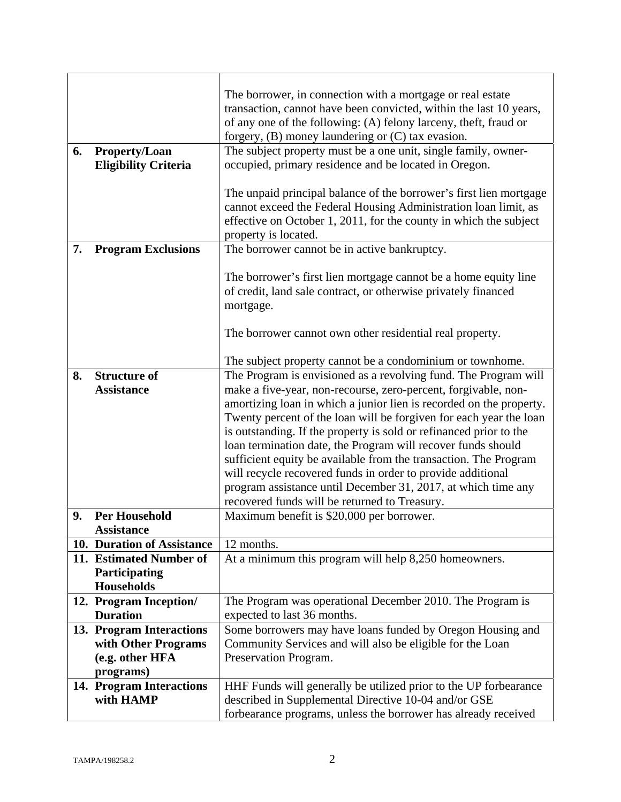| 6. | <b>Property/Loan</b>                                  | The borrower, in connection with a mortgage or real estate<br>transaction, cannot have been convicted, within the last 10 years,<br>of any one of the following: (A) felony larceny, theft, fraud or<br>forgery, $(B)$ money laundering or $(C)$ tax evasion.<br>The subject property must be a one unit, single family, owner- |
|----|-------------------------------------------------------|---------------------------------------------------------------------------------------------------------------------------------------------------------------------------------------------------------------------------------------------------------------------------------------------------------------------------------|
|    | <b>Eligibility Criteria</b>                           | occupied, primary residence and be located in Oregon.                                                                                                                                                                                                                                                                           |
|    |                                                       |                                                                                                                                                                                                                                                                                                                                 |
|    |                                                       | The unpaid principal balance of the borrower's first lien mortgage                                                                                                                                                                                                                                                              |
|    |                                                       | cannot exceed the Federal Housing Administration loan limit, as                                                                                                                                                                                                                                                                 |
|    |                                                       | effective on October 1, 2011, for the county in which the subject                                                                                                                                                                                                                                                               |
| 7. | <b>Program Exclusions</b>                             | property is located.<br>The borrower cannot be in active bankruptcy.                                                                                                                                                                                                                                                            |
|    |                                                       |                                                                                                                                                                                                                                                                                                                                 |
|    |                                                       | The borrower's first lien mortgage cannot be a home equity line                                                                                                                                                                                                                                                                 |
|    |                                                       | of credit, land sale contract, or otherwise privately financed                                                                                                                                                                                                                                                                  |
|    |                                                       | mortgage.                                                                                                                                                                                                                                                                                                                       |
|    |                                                       |                                                                                                                                                                                                                                                                                                                                 |
|    |                                                       | The borrower cannot own other residential real property.                                                                                                                                                                                                                                                                        |
|    |                                                       | The subject property cannot be a condominium or townhome.                                                                                                                                                                                                                                                                       |
| 8. | <b>Structure of</b>                                   | The Program is envisioned as a revolving fund. The Program will                                                                                                                                                                                                                                                                 |
|    | <b>Assistance</b>                                     | make a five-year, non-recourse, zero-percent, forgivable, non-                                                                                                                                                                                                                                                                  |
|    |                                                       | amortizing loan in which a junior lien is recorded on the property.                                                                                                                                                                                                                                                             |
|    |                                                       | Twenty percent of the loan will be forgiven for each year the loan                                                                                                                                                                                                                                                              |
|    |                                                       | is outstanding. If the property is sold or refinanced prior to the                                                                                                                                                                                                                                                              |
|    |                                                       | loan termination date, the Program will recover funds should                                                                                                                                                                                                                                                                    |
|    |                                                       | sufficient equity be available from the transaction. The Program                                                                                                                                                                                                                                                                |
|    |                                                       | will recycle recovered funds in order to provide additional                                                                                                                                                                                                                                                                     |
|    |                                                       | program assistance until December 31, 2017, at which time any                                                                                                                                                                                                                                                                   |
|    |                                                       | recovered funds will be returned to Treasury.                                                                                                                                                                                                                                                                                   |
| 9. | <b>Per Household</b>                                  | Maximum benefit is \$20,000 per borrower.                                                                                                                                                                                                                                                                                       |
|    | <b>Assistance</b>                                     |                                                                                                                                                                                                                                                                                                                                 |
|    | 10. Duration of Assistance<br>11. Estimated Number of | 12 months.                                                                                                                                                                                                                                                                                                                      |
|    | Participating                                         | At a minimum this program will help 8,250 homeowners.                                                                                                                                                                                                                                                                           |
|    | Households                                            |                                                                                                                                                                                                                                                                                                                                 |
|    | 12. Program Inception/                                | The Program was operational December 2010. The Program is                                                                                                                                                                                                                                                                       |
|    | <b>Duration</b>                                       | expected to last 36 months.                                                                                                                                                                                                                                                                                                     |
|    | 13. Program Interactions                              | Some borrowers may have loans funded by Oregon Housing and                                                                                                                                                                                                                                                                      |
|    | with Other Programs                                   | Community Services and will also be eligible for the Loan                                                                                                                                                                                                                                                                       |
|    | (e.g. other HFA                                       | Preservation Program.                                                                                                                                                                                                                                                                                                           |
|    | programs)                                             |                                                                                                                                                                                                                                                                                                                                 |
|    | 14. Program Interactions                              | HHF Funds will generally be utilized prior to the UP forbearance                                                                                                                                                                                                                                                                |
|    | with HAMP                                             | described in Supplemental Directive 10-04 and/or GSE                                                                                                                                                                                                                                                                            |
|    |                                                       | forbearance programs, unless the borrower has already received                                                                                                                                                                                                                                                                  |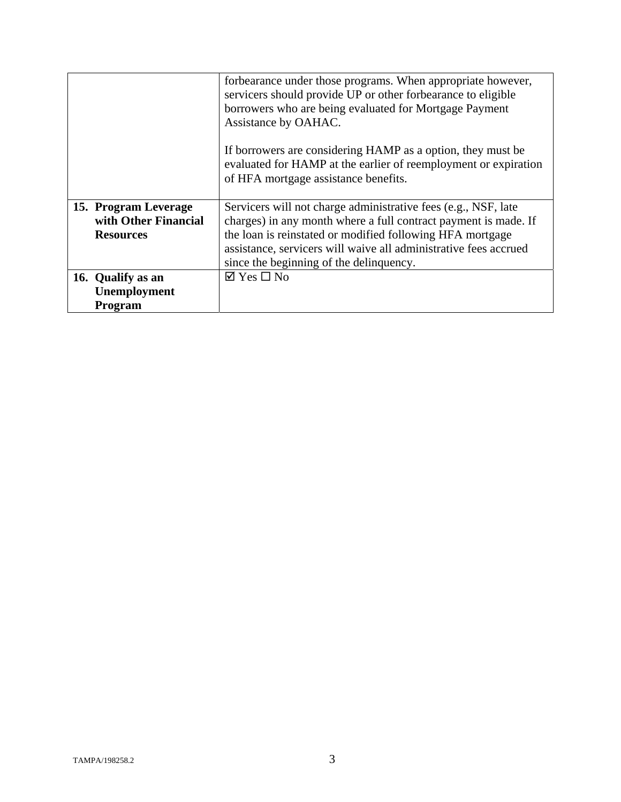|                      | forbearance under those programs. When appropriate however,                                                                                                            |
|----------------------|------------------------------------------------------------------------------------------------------------------------------------------------------------------------|
|                      | servicers should provide UP or other forbearance to eligible                                                                                                           |
|                      | borrowers who are being evaluated for Mortgage Payment                                                                                                                 |
|                      | Assistance by OAHAC.                                                                                                                                                   |
|                      | If borrowers are considering HAMP as a option, they must be<br>evaluated for HAMP at the earlier of reemployment or expiration<br>of HFA mortgage assistance benefits. |
| 15. Program Leverage | Servicers will not charge administrative fees (e.g., NSF, late                                                                                                         |
| with Other Financial | charges) in any month where a full contract payment is made. If                                                                                                        |
| <b>Resources</b>     | the loan is reinstated or modified following HFA mortgage                                                                                                              |
|                      | assistance, servicers will waive all administrative fees accrued                                                                                                       |
|                      | since the beginning of the delinquency.                                                                                                                                |
| 16. Qualify as an    | $\boxtimes$ Yes $\square$ No                                                                                                                                           |
| Unemployment         |                                                                                                                                                                        |
| <b>Program</b>       |                                                                                                                                                                        |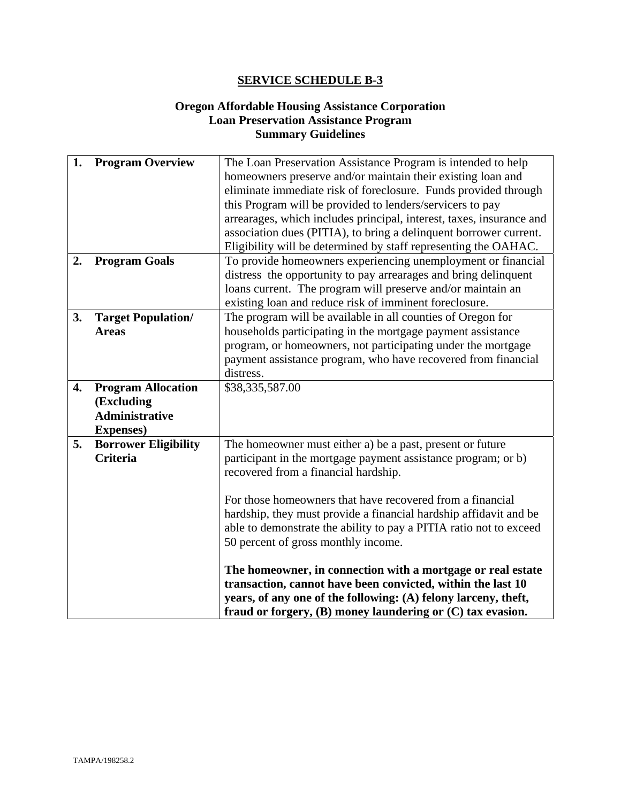### **Oregon Affordable Housing Assistance Corporation Loan Preservation Assistance Program Summary Guidelines**

| 1. | <b>Program Overview</b>     | The Loan Preservation Assistance Program is intended to help<br>homeowners preserve and/or maintain their existing loan and |
|----|-----------------------------|-----------------------------------------------------------------------------------------------------------------------------|
|    |                             | eliminate immediate risk of foreclosure. Funds provided through                                                             |
|    |                             | this Program will be provided to lenders/servicers to pay                                                                   |
|    |                             | arrearages, which includes principal, interest, taxes, insurance and                                                        |
|    |                             | association dues (PITIA), to bring a delinquent borrower current.                                                           |
|    |                             | Eligibility will be determined by staff representing the OAHAC.                                                             |
| 2. | <b>Program Goals</b>        | To provide homeowners experiencing unemployment or financial                                                                |
|    |                             | distress the opportunity to pay arrearages and bring delinquent                                                             |
|    |                             | loans current. The program will preserve and/or maintain an                                                                 |
|    |                             | existing loan and reduce risk of imminent foreclosure.                                                                      |
| 3. | <b>Target Population/</b>   | The program will be available in all counties of Oregon for                                                                 |
|    | <b>Areas</b>                | households participating in the mortgage payment assistance                                                                 |
|    |                             | program, or homeowners, not participating under the mortgage                                                                |
|    |                             | payment assistance program, who have recovered from financial                                                               |
|    |                             | distress.                                                                                                                   |
| 4. | <b>Program Allocation</b>   | \$38,335,587.00                                                                                                             |
|    | (Excluding                  |                                                                                                                             |
|    | <b>Administrative</b>       |                                                                                                                             |
|    | <b>Expenses</b> )           |                                                                                                                             |
| 5. | <b>Borrower Eligibility</b> | The homeowner must either a) be a past, present or future                                                                   |
|    | <b>Criteria</b>             | participant in the mortgage payment assistance program; or b)                                                               |
|    |                             | recovered from a financial hardship.                                                                                        |
|    |                             | For those homeowners that have recovered from a financial                                                                   |
|    |                             | hardship, they must provide a financial hardship affidavit and be                                                           |
|    |                             | able to demonstrate the ability to pay a PITIA ratio not to exceed                                                          |
|    |                             | 50 percent of gross monthly income.                                                                                         |
|    |                             |                                                                                                                             |
|    |                             | The homeowner, in connection with a mortgage or real estate                                                                 |
|    |                             | transaction, cannot have been convicted, within the last 10                                                                 |
|    |                             | years, of any one of the following: (A) felony larceny, theft,                                                              |
|    |                             | fraud or forgery, $(B)$ money laundering or $(C)$ tax evasion.                                                              |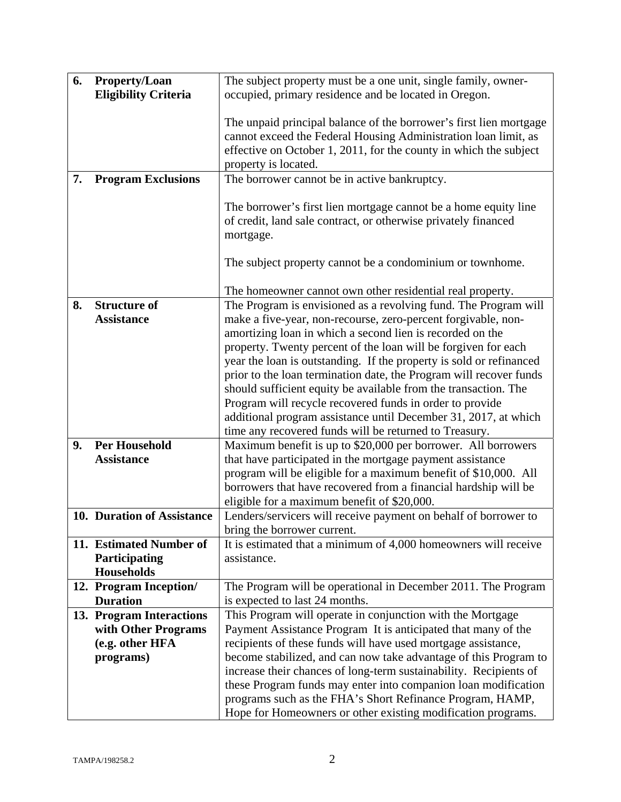| 6. | <b>Property/Loan</b>        | The subject property must be a one unit, single family, owner-      |
|----|-----------------------------|---------------------------------------------------------------------|
|    | <b>Eligibility Criteria</b> | occupied, primary residence and be located in Oregon.               |
|    |                             |                                                                     |
|    |                             |                                                                     |
|    |                             | The unpaid principal balance of the borrower's first lien mortgage  |
|    |                             | cannot exceed the Federal Housing Administration loan limit, as     |
|    |                             | effective on October 1, 2011, for the county in which the subject   |
|    |                             | property is located.                                                |
|    |                             |                                                                     |
| 7. | <b>Program Exclusions</b>   | The borrower cannot be in active bankruptcy.                        |
|    |                             |                                                                     |
|    |                             | The borrower's first lien mortgage cannot be a home equity line     |
|    |                             | of credit, land sale contract, or otherwise privately financed      |
|    |                             |                                                                     |
|    |                             | mortgage.                                                           |
|    |                             |                                                                     |
|    |                             | The subject property cannot be a condominium or townhome.           |
|    |                             |                                                                     |
|    |                             | The homeowner cannot own other residential real property.           |
|    |                             |                                                                     |
| 8. | <b>Structure of</b>         | The Program is envisioned as a revolving fund. The Program will     |
|    | <b>Assistance</b>           | make a five-year, non-recourse, zero-percent forgivable, non-       |
|    |                             | amortizing loan in which a second lien is recorded on the           |
|    |                             | property. Twenty percent of the loan will be forgiven for each      |
|    |                             | year the loan is outstanding. If the property is sold or refinanced |
|    |                             |                                                                     |
|    |                             | prior to the loan termination date, the Program will recover funds  |
|    |                             | should sufficient equity be available from the transaction. The     |
|    |                             | Program will recycle recovered funds in order to provide            |
|    |                             | additional program assistance until December 31, 2017, at which     |
|    |                             |                                                                     |
|    |                             | time any recovered funds will be returned to Treasury.              |
| 9. | <b>Per Household</b>        | Maximum benefit is up to \$20,000 per borrower. All borrowers       |
|    | <b>Assistance</b>           | that have participated in the mortgage payment assistance           |
|    |                             | program will be eligible for a maximum benefit of \$10,000. All     |
|    |                             | borrowers that have recovered from a financial hardship will be     |
|    |                             | eligible for a maximum benefit of \$20,000.                         |
|    |                             |                                                                     |
|    | 10. Duration of Assistance  | Lenders/servicers will receive payment on behalf of borrower to     |
|    |                             | bring the borrower current.                                         |
|    | 11. Estimated Number of     | It is estimated that a minimum of 4,000 homeowners will receive     |
|    | <b>Participating</b>        | assistance.                                                         |
|    | <b>Households</b>           |                                                                     |
|    |                             |                                                                     |
|    | 12. Program Inception/      | The Program will be operational in December 2011. The Program       |
|    | <b>Duration</b>             | is expected to last 24 months.                                      |
|    | 13. Program Interactions    | This Program will operate in conjunction with the Mortgage          |
|    | with Other Programs         | Payment Assistance Program It is anticipated that many of the       |
|    | (e.g. other HFA             | recipients of these funds will have used mortgage assistance,       |
|    |                             |                                                                     |
|    | programs)                   | become stabilized, and can now take advantage of this Program to    |
|    |                             | increase their chances of long-term sustainability. Recipients of   |
|    |                             | these Program funds may enter into companion loan modification      |
|    |                             | programs such as the FHA's Short Refinance Program, HAMP,           |
|    |                             |                                                                     |
|    |                             | Hope for Homeowners or other existing modification programs.        |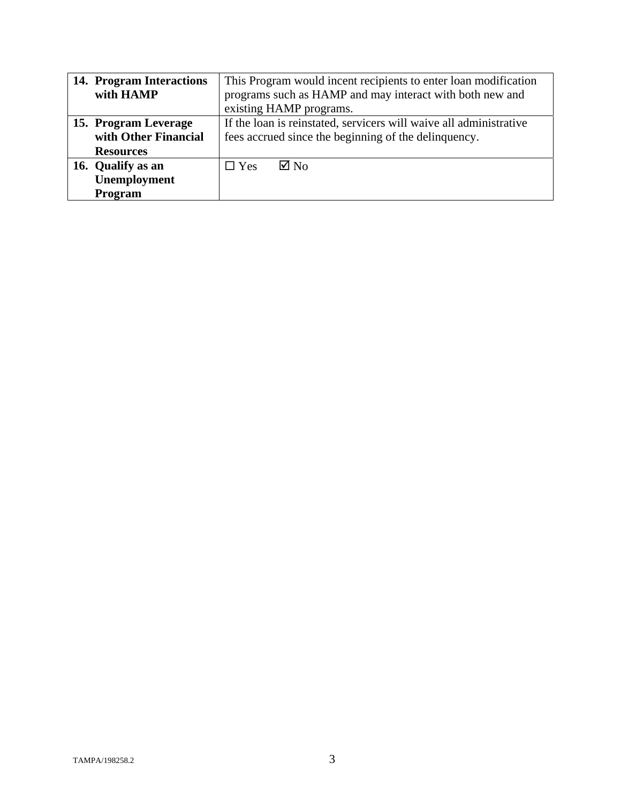| 14. Program Interactions | This Program would incent recipients to enter loan modification    |  |
|--------------------------|--------------------------------------------------------------------|--|
| with HAMP                | programs such as HAMP and may interact with both new and           |  |
|                          | existing HAMP programs.                                            |  |
| 15. Program Leverage     | If the loan is reinstated, servicers will waive all administrative |  |
| with Other Financial     | fees accrued since the beginning of the delinquency.               |  |
| <b>Resources</b>         |                                                                    |  |
| 16. Qualify as an        | $\boxtimes$ No<br>$\Box$ Yes                                       |  |
| Unemployment             |                                                                    |  |
| Program                  |                                                                    |  |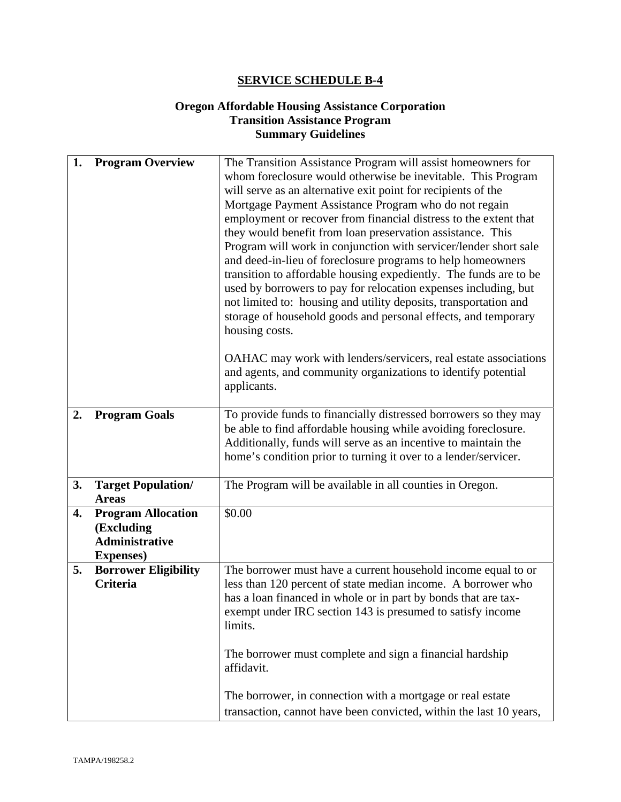### **Oregon Affordable Housing Assistance Corporation Transition Assistance Program Summary Guidelines**

| 1. | <b>Program Overview</b>                                                               | The Transition Assistance Program will assist homeowners for<br>whom foreclosure would otherwise be inevitable. This Program<br>will serve as an alternative exit point for recipients of the<br>Mortgage Payment Assistance Program who do not regain<br>employment or recover from financial distress to the extent that<br>they would benefit from loan preservation assistance. This<br>Program will work in conjunction with servicer/lender short sale<br>and deed-in-lieu of foreclosure programs to help homeowners<br>transition to affordable housing expediently. The funds are to be<br>used by borrowers to pay for relocation expenses including, but<br>not limited to: housing and utility deposits, transportation and<br>storage of household goods and personal effects, and temporary<br>housing costs. |  |
|----|---------------------------------------------------------------------------------------|-----------------------------------------------------------------------------------------------------------------------------------------------------------------------------------------------------------------------------------------------------------------------------------------------------------------------------------------------------------------------------------------------------------------------------------------------------------------------------------------------------------------------------------------------------------------------------------------------------------------------------------------------------------------------------------------------------------------------------------------------------------------------------------------------------------------------------|--|
|    |                                                                                       | OAHAC may work with lenders/servicers, real estate associations<br>and agents, and community organizations to identify potential<br>applicants.                                                                                                                                                                                                                                                                                                                                                                                                                                                                                                                                                                                                                                                                             |  |
| 2. | <b>Program Goals</b>                                                                  | To provide funds to financially distressed borrowers so they may<br>be able to find affordable housing while avoiding foreclosure.<br>Additionally, funds will serve as an incentive to maintain the<br>home's condition prior to turning it over to a lender/servicer.                                                                                                                                                                                                                                                                                                                                                                                                                                                                                                                                                     |  |
| 3. | <b>Target Population/</b><br><b>Areas</b>                                             | The Program will be available in all counties in Oregon.                                                                                                                                                                                                                                                                                                                                                                                                                                                                                                                                                                                                                                                                                                                                                                    |  |
| 4. | <b>Program Allocation</b><br>(Excluding<br><b>Administrative</b><br><b>Expenses</b> ) | \$0.00                                                                                                                                                                                                                                                                                                                                                                                                                                                                                                                                                                                                                                                                                                                                                                                                                      |  |
| 5. | <b>Borrower Eligibility</b><br><b>Criteria</b>                                        | The borrower must have a current household income equal to or<br>less than 120 percent of state median income. A borrower who<br>has a loan financed in whole or in part by bonds that are tax-<br>exempt under IRC section 143 is presumed to satisfy income<br>limits.<br>The borrower must complete and sign a financial hardship<br>affidavit.                                                                                                                                                                                                                                                                                                                                                                                                                                                                          |  |
|    |                                                                                       | The borrower, in connection with a mortgage or real estate<br>transaction, cannot have been convicted, within the last 10 years,                                                                                                                                                                                                                                                                                                                                                                                                                                                                                                                                                                                                                                                                                            |  |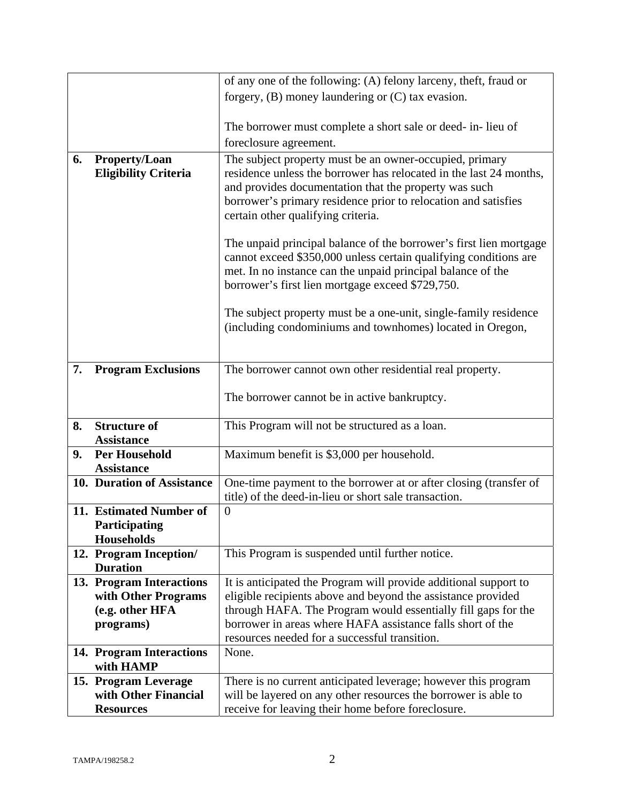|    |                                           | of any one of the following: (A) felony larceny, theft, fraud or                                                                |  |
|----|-------------------------------------------|---------------------------------------------------------------------------------------------------------------------------------|--|
|    |                                           | forgery, $(B)$ money laundering or $(C)$ tax evasion.                                                                           |  |
|    |                                           |                                                                                                                                 |  |
|    |                                           | The borrower must complete a short sale or deed- in-lieu of                                                                     |  |
|    |                                           | foreclosure agreement.                                                                                                          |  |
| 6. | <b>Property/Loan</b>                      | The subject property must be an owner-occupied, primary                                                                         |  |
|    | <b>Eligibility Criteria</b>               | residence unless the borrower has relocated in the last 24 months,                                                              |  |
|    |                                           | and provides documentation that the property was such                                                                           |  |
|    |                                           | borrower's primary residence prior to relocation and satisfies                                                                  |  |
|    |                                           | certain other qualifying criteria.                                                                                              |  |
|    |                                           |                                                                                                                                 |  |
|    |                                           | The unpaid principal balance of the borrower's first lien mortgage                                                              |  |
|    |                                           | cannot exceed \$350,000 unless certain qualifying conditions are<br>met. In no instance can the unpaid principal balance of the |  |
|    |                                           | borrower's first lien mortgage exceed \$729,750.                                                                                |  |
|    |                                           |                                                                                                                                 |  |
|    |                                           | The subject property must be a one-unit, single-family residence                                                                |  |
|    |                                           | (including condominiums and townhomes) located in Oregon,                                                                       |  |
|    |                                           |                                                                                                                                 |  |
|    |                                           |                                                                                                                                 |  |
| 7. | <b>Program Exclusions</b>                 | The borrower cannot own other residential real property.                                                                        |  |
|    |                                           |                                                                                                                                 |  |
|    |                                           | The borrower cannot be in active bankruptcy.                                                                                    |  |
| 8. | <b>Structure of</b>                       | This Program will not be structured as a loan.                                                                                  |  |
|    | <b>Assistance</b>                         |                                                                                                                                 |  |
| 9. | <b>Per Household</b>                      | Maximum benefit is \$3,000 per household.                                                                                       |  |
|    | <b>Assistance</b>                         |                                                                                                                                 |  |
|    | 10. Duration of Assistance                | One-time payment to the borrower at or after closing (transfer of                                                               |  |
|    |                                           | title) of the deed-in-lieu or short sale transaction.                                                                           |  |
|    | 11. Estimated Number of                   | $\overline{0}$                                                                                                                  |  |
|    | Participating                             |                                                                                                                                 |  |
|    | <b>Households</b>                         |                                                                                                                                 |  |
|    | 12. Program Inception/<br><b>Duration</b> | This Program is suspended until further notice.                                                                                 |  |
|    | 13. Program Interactions                  | It is anticipated the Program will provide additional support to                                                                |  |
|    | with Other Programs                       | eligible recipients above and beyond the assistance provided                                                                    |  |
|    | (e.g. other HFA                           | through HAFA. The Program would essentially fill gaps for the                                                                   |  |
|    | programs)                                 | borrower in areas where HAFA assistance falls short of the                                                                      |  |
|    |                                           | resources needed for a successful transition.                                                                                   |  |
|    | 14. Program Interactions                  | None.                                                                                                                           |  |
|    | with HAMP                                 |                                                                                                                                 |  |
|    | 15. Program Leverage                      | There is no current anticipated leverage; however this program                                                                  |  |
|    | with Other Financial                      | will be layered on any other resources the borrower is able to                                                                  |  |
|    | <b>Resources</b>                          | receive for leaving their home before foreclosure.                                                                              |  |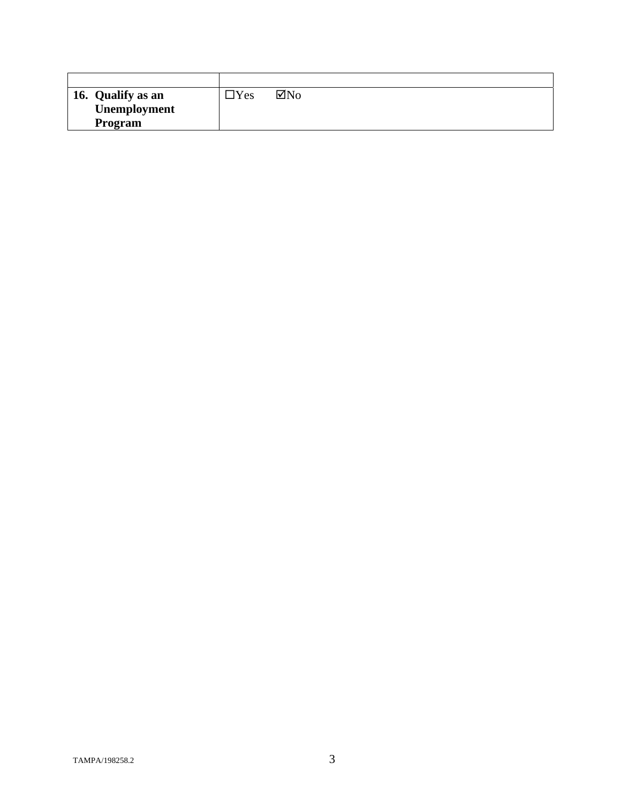| 16. Qualify as an | $\neg$ Yes | $\boxtimes$ No |
|-------------------|------------|----------------|
| Unemployment      |            |                |
| Program           |            |                |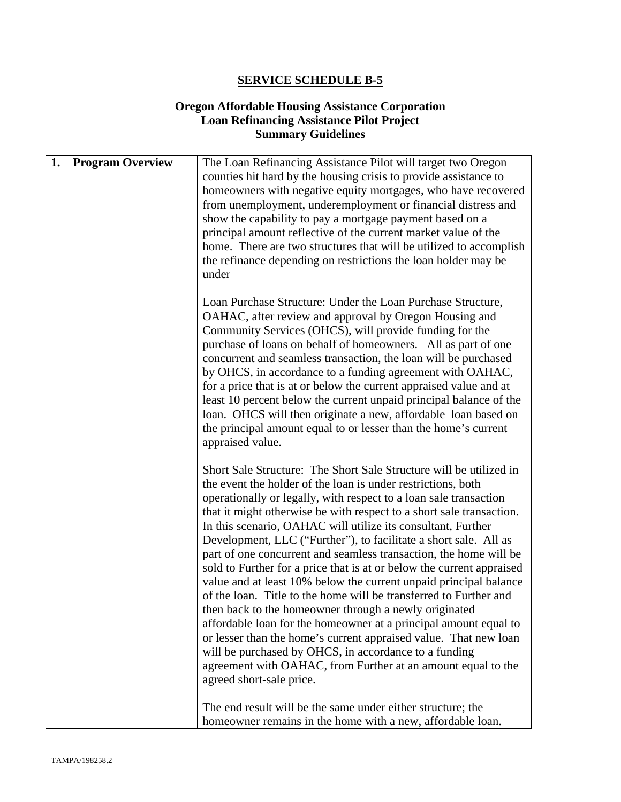### **Oregon Affordable Housing Assistance Corporation Loan Refinancing Assistance Pilot Project Summary Guidelines**

| 1. | <b>Program Overview</b> | The Loan Refinancing Assistance Pilot will target two Oregon          |
|----|-------------------------|-----------------------------------------------------------------------|
|    |                         | counties hit hard by the housing crisis to provide assistance to      |
|    |                         | homeowners with negative equity mortgages, who have recovered         |
|    |                         | from unemployment, underemployment or financial distress and          |
|    |                         | show the capability to pay a mortgage payment based on a              |
|    |                         | principal amount reflective of the current market value of the        |
|    |                         |                                                                       |
|    |                         | home. There are two structures that will be utilized to accomplish    |
|    |                         | the refinance depending on restrictions the loan holder may be        |
|    |                         | under                                                                 |
|    |                         |                                                                       |
|    |                         | Loan Purchase Structure: Under the Loan Purchase Structure,           |
|    |                         | OAHAC, after review and approval by Oregon Housing and                |
|    |                         | Community Services (OHCS), will provide funding for the               |
|    |                         | purchase of loans on behalf of homeowners. All as part of one         |
|    |                         | concurrent and seamless transaction, the loan will be purchased       |
|    |                         | by OHCS, in accordance to a funding agreement with OAHAC,             |
|    |                         | for a price that is at or below the current appraised value and at    |
|    |                         | least 10 percent below the current unpaid principal balance of the    |
|    |                         | loan. OHCS will then originate a new, affordable loan based on        |
|    |                         | the principal amount equal to or lesser than the home's current       |
|    |                         | appraised value.                                                      |
|    |                         |                                                                       |
|    |                         | Short Sale Structure: The Short Sale Structure will be utilized in    |
|    |                         | the event the holder of the loan is under restrictions, both          |
|    |                         | operationally or legally, with respect to a loan sale transaction     |
|    |                         | that it might otherwise be with respect to a short sale transaction.  |
|    |                         | In this scenario, OAHAC will utilize its consultant, Further          |
|    |                         | Development, LLC ("Further"), to facilitate a short sale. All as      |
|    |                         | part of one concurrent and seamless transaction, the home will be     |
|    |                         | sold to Further for a price that is at or below the current appraised |
|    |                         | value and at least 10% below the current unpaid principal balance     |
|    |                         | of the loan. Title to the home will be transferred to Further and     |
|    |                         | then back to the homeowner through a newly originated                 |
|    |                         |                                                                       |
|    |                         | affordable loan for the homeowner at a principal amount equal to      |
|    |                         | or lesser than the home's current appraised value. That new loan      |
|    |                         | will be purchased by OHCS, in accordance to a funding                 |
|    |                         | agreement with OAHAC, from Further at an amount equal to the          |
|    |                         | agreed short-sale price.                                              |
|    |                         | The end result will be the same under either structure; the           |
|    |                         | homeowner remains in the home with a new, affordable loan.            |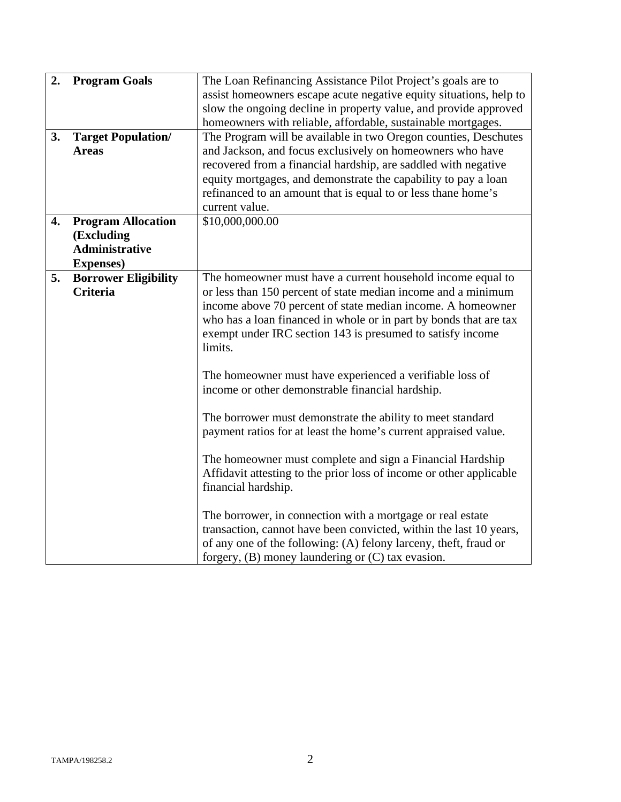| 2.<br>3. | <b>Program Goals</b><br><b>Target Population/</b><br><b>Areas</b>                     | The Loan Refinancing Assistance Pilot Project's goals are to<br>assist homeowners escape acute negative equity situations, help to<br>slow the ongoing decline in property value, and provide approved<br>homeowners with reliable, affordable, sustainable mortgages.<br>The Program will be available in two Oregon counties, Deschutes<br>and Jackson, and focus exclusively on homeowners who have<br>recovered from a financial hardship, are saddled with negative |  |
|----------|---------------------------------------------------------------------------------------|--------------------------------------------------------------------------------------------------------------------------------------------------------------------------------------------------------------------------------------------------------------------------------------------------------------------------------------------------------------------------------------------------------------------------------------------------------------------------|--|
|          |                                                                                       | equity mortgages, and demonstrate the capability to pay a loan<br>refinanced to an amount that is equal to or less thane home's<br>current value.                                                                                                                                                                                                                                                                                                                        |  |
| 4.       | <b>Program Allocation</b><br>(Excluding<br><b>Administrative</b><br><b>Expenses</b> ) | \$10,000,000.00                                                                                                                                                                                                                                                                                                                                                                                                                                                          |  |
| 5.       | <b>Borrower Eligibility</b><br><b>Criteria</b>                                        | The homeowner must have a current household income equal to<br>or less than 150 percent of state median income and a minimum<br>income above 70 percent of state median income. A homeowner<br>who has a loan financed in whole or in part by bonds that are tax<br>exempt under IRC section 143 is presumed to satisfy income<br>limits.                                                                                                                                |  |
|          |                                                                                       | The homeowner must have experienced a verifiable loss of<br>income or other demonstrable financial hardship.<br>The borrower must demonstrate the ability to meet standard<br>payment ratios for at least the home's current appraised value.<br>The homeowner must complete and sign a Financial Hardship                                                                                                                                                               |  |
|          |                                                                                       | Affidavit attesting to the prior loss of income or other applicable<br>financial hardship.<br>The borrower, in connection with a mortgage or real estate<br>transaction, cannot have been convicted, within the last 10 years,<br>of any one of the following: (A) felony larceny, theft, fraud or<br>forgery, $(B)$ money laundering or $(C)$ tax evasion.                                                                                                              |  |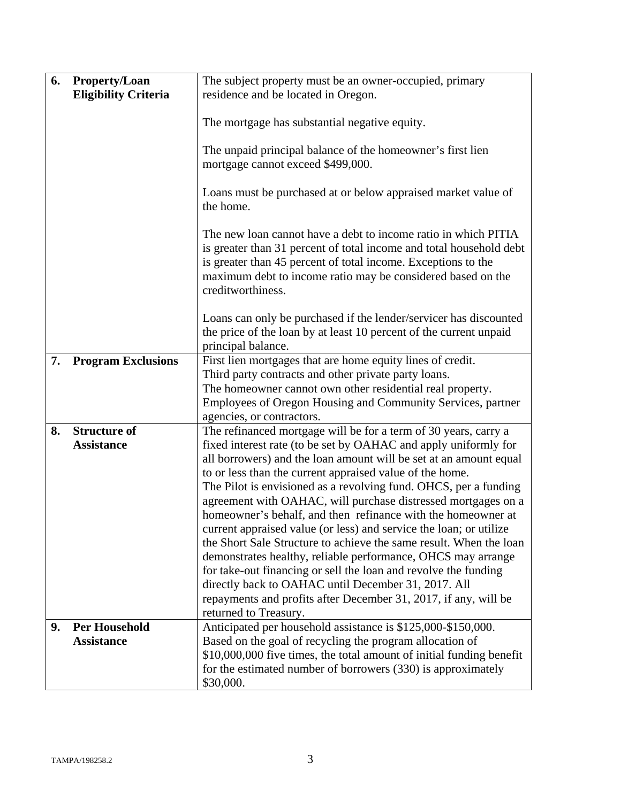| 6. | Property/Loan               | The subject property must be an owner-occupied, primary                                                                                                                                                                                                                                    |  |
|----|-----------------------------|--------------------------------------------------------------------------------------------------------------------------------------------------------------------------------------------------------------------------------------------------------------------------------------------|--|
|    | <b>Eligibility Criteria</b> | residence and be located in Oregon.                                                                                                                                                                                                                                                        |  |
|    |                             | The mortgage has substantial negative equity.                                                                                                                                                                                                                                              |  |
|    |                             | The unpaid principal balance of the homeowner's first lien<br>mortgage cannot exceed \$499,000.                                                                                                                                                                                            |  |
|    |                             | Loans must be purchased at or below appraised market value of<br>the home.                                                                                                                                                                                                                 |  |
|    |                             | The new loan cannot have a debt to income ratio in which PITIA<br>is greater than 31 percent of total income and total household debt<br>is greater than 45 percent of total income. Exceptions to the<br>maximum debt to income ratio may be considered based on the<br>creditworthiness. |  |
|    |                             | Loans can only be purchased if the lender/servicer has discounted<br>the price of the loan by at least 10 percent of the current unpaid<br>principal balance.                                                                                                                              |  |
| 7. | <b>Program Exclusions</b>   | First lien mortgages that are home equity lines of credit.<br>Third party contracts and other private party loans.<br>The homeowner cannot own other residential real property.<br>Employees of Oregon Housing and Community Services, partner<br>agencies, or contractors.                |  |
| 8. | <b>Structure of</b>         | The refinanced mortgage will be for a term of 30 years, carry a                                                                                                                                                                                                                            |  |
|    | <b>Assistance</b>           | fixed interest rate (to be set by OAHAC and apply uniformly for                                                                                                                                                                                                                            |  |
|    |                             | all borrowers) and the loan amount will be set at an amount equal                                                                                                                                                                                                                          |  |
|    |                             | to or less than the current appraised value of the home.                                                                                                                                                                                                                                   |  |
|    |                             | The Pilot is envisioned as a revolving fund. OHCS, per a funding<br>agreement with OAHAC, will purchase distressed mortgages on a                                                                                                                                                          |  |
|    |                             | homeowner's behalf, and then refinance with the homeowner at                                                                                                                                                                                                                               |  |
|    |                             | current appraised value (or less) and service the loan; or utilize                                                                                                                                                                                                                         |  |
|    |                             | the Short Sale Structure to achieve the same result. When the loan                                                                                                                                                                                                                         |  |
|    |                             | demonstrates healthy, reliable performance, OHCS may arrange                                                                                                                                                                                                                               |  |
|    |                             | for take-out financing or sell the loan and revolve the funding<br>directly back to OAHAC until December 31, 2017. All                                                                                                                                                                     |  |
|    |                             | repayments and profits after December 31, 2017, if any, will be                                                                                                                                                                                                                            |  |
|    |                             | returned to Treasury.                                                                                                                                                                                                                                                                      |  |
| 9. | <b>Per Household</b>        | Anticipated per household assistance is \$125,000-\$150,000.                                                                                                                                                                                                                               |  |
|    | <b>Assistance</b>           | Based on the goal of recycling the program allocation of                                                                                                                                                                                                                                   |  |
|    |                             | \$10,000,000 five times, the total amount of initial funding benefit<br>for the estimated number of borrowers (330) is approximately                                                                                                                                                       |  |
|    |                             | \$30,000.                                                                                                                                                                                                                                                                                  |  |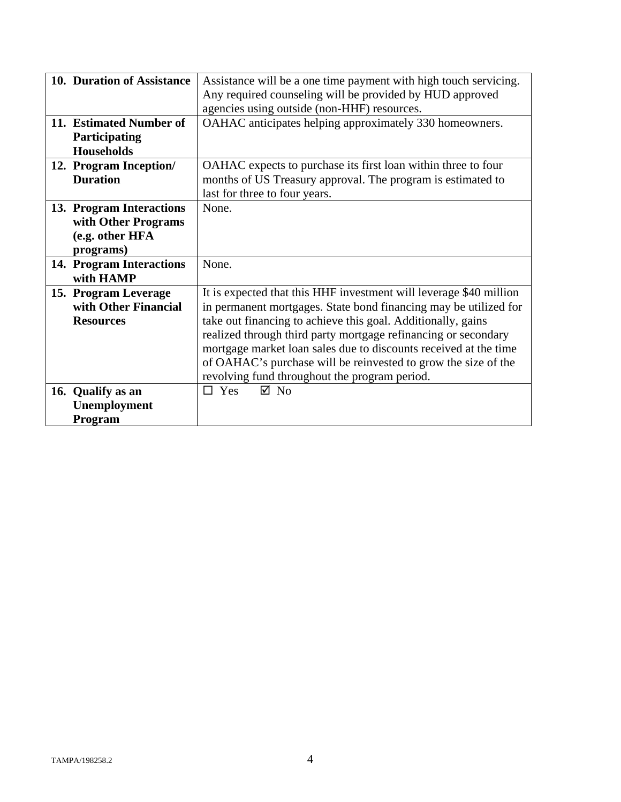| 10. Duration of Assistance | Assistance will be a one time payment with high touch servicing.   |  |
|----------------------------|--------------------------------------------------------------------|--|
|                            | Any required counseling will be provided by HUD approved           |  |
|                            | agencies using outside (non-HHF) resources.                        |  |
| 11. Estimated Number of    | OAHAC anticipates helping approximately 330 homeowners.            |  |
| Participating              |                                                                    |  |
| <b>Households</b>          |                                                                    |  |
| 12. Program Inception/     | OAHAC expects to purchase its first loan within three to four      |  |
| <b>Duration</b>            | months of US Treasury approval. The program is estimated to        |  |
|                            | last for three to four years.                                      |  |
| 13. Program Interactions   | None.                                                              |  |
| with Other Programs        |                                                                    |  |
| (e.g. other HFA            |                                                                    |  |
| programs)                  |                                                                    |  |
| 14. Program Interactions   | None.                                                              |  |
| with HAMP                  |                                                                    |  |
| 15. Program Leverage       | It is expected that this HHF investment will leverage \$40 million |  |
| with Other Financial       | in permanent mortgages. State bond financing may be utilized for   |  |
| <b>Resources</b>           | take out financing to achieve this goal. Additionally, gains       |  |
|                            | realized through third party mortgage refinancing or secondary     |  |
|                            | mortgage market loan sales due to discounts received at the time   |  |
|                            | of OAHAC's purchase will be reinvested to grow the size of the     |  |
|                            | revolving fund throughout the program period.                      |  |
| 16. Qualify as an          | $\boxtimes$ No<br>$\Box$ Yes                                       |  |
| Unemployment               |                                                                    |  |
| Program                    |                                                                    |  |
|                            |                                                                    |  |